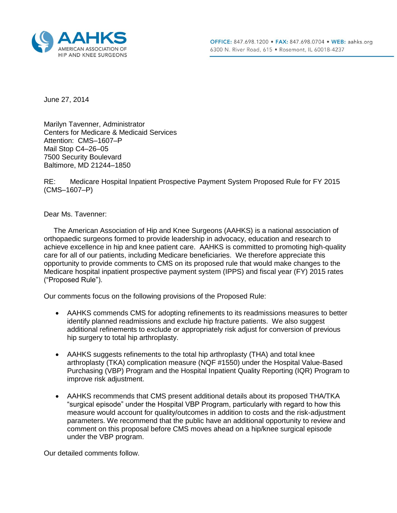

June 27, 2014

Marilyn Tavenner, Administrator Centers for Medicare & Medicaid Services Attention: CMS–1607–P Mail Stop C4–26–05 7500 Security Boulevard Baltimore, MD 21244–1850

RE: Medicare Hospital Inpatient Prospective Payment System Proposed Rule for FY 2015 (CMS–1607–P)

Dear Ms. Tavenner:

 The American Association of Hip and Knee Surgeons (AAHKS) is a national association of orthopaedic surgeons formed to provide leadership in advocacy, education and research to achieve excellence in hip and knee patient care. AAHKS is committed to promoting high-quality care for all of our patients, including Medicare beneficiaries. We therefore appreciate this opportunity to provide comments to CMS on its proposed rule that would make changes to the Medicare hospital inpatient prospective payment system (IPPS) and fiscal year (FY) 2015 rates ("Proposed Rule").

Our comments focus on the following provisions of the Proposed Rule:

- AAHKS commends CMS for adopting refinements to its readmissions measures to better identify planned readmissions and exclude hip fracture patients. We also suggest additional refinements to exclude or appropriately risk adjust for conversion of previous hip surgery to total hip arthroplasty.
- AAHKS suggests refinements to the total hip arthroplasty (THA) and total knee arthroplasty (TKA) complication measure (NQF #1550) under the Hospital Value-Based Purchasing (VBP) Program and the Hospital Inpatient Quality Reporting (IQR) Program to improve risk adjustment.
- AAHKS recommends that CMS present additional details about its proposed THA/TKA "surgical episode" under the Hospital VBP Program, particularly with regard to how this measure would account for quality/outcomes in addition to costs and the risk-adjustment parameters. We recommend that the public have an additional opportunity to review and comment on this proposal before CMS moves ahead on a hip/knee surgical episode under the VBP program.

Our detailed comments follow.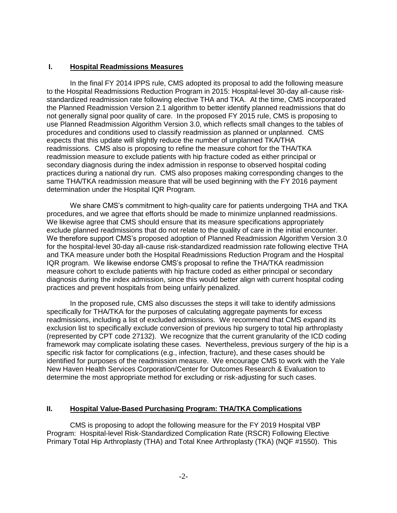## **I. Hospital Readmissions Measures**

In the final FY 2014 IPPS rule, CMS adopted its proposal to add the following measure to the Hospital Readmissions Reduction Program in 2015: Hospital-level 30-day all-cause riskstandardized readmission rate following elective THA and TKA. At the time, CMS incorporated the Planned Readmission Version 2.1 algorithm to better identify planned readmissions that do not generally signal poor quality of care. In the proposed FY 2015 rule, CMS is proposing to use Planned Readmission Algorithm Version 3.0, which reflects small changes to the tables of procedures and conditions used to classify readmission as planned or unplanned. CMS expects that this update will slightly reduce the number of unplanned TKA/THA readmissions. CMS also is proposing to refine the measure cohort for the THA/TKA readmission measure to exclude patients with hip fracture coded as either principal or secondary diagnosis during the index admission in response to observed hospital coding practices during a national dry run. CMS also proposes making corresponding changes to the same THA/TKA readmission measure that will be used beginning with the FY 2016 payment determination under the Hospital IQR Program.

We share CMS's commitment to high-quality care for patients undergoing THA and TKA procedures, and we agree that efforts should be made to minimize unplanned readmissions. We likewise agree that CMS should ensure that its measure specifications appropriately exclude planned readmissions that do not relate to the quality of care in the initial encounter. We therefore support CMS's proposed adoption of Planned Readmission Algorithm Version 3.0 for the hospital-level 30-day all-cause risk-standardized readmission rate following elective THA and TKA measure under both the Hospital Readmissions Reduction Program and the Hospital IQR program. We likewise endorse CMS's proposal to refine the THA/TKA readmission measure cohort to exclude patients with hip fracture coded as either principal or secondary diagnosis during the index admission, since this would better align with current hospital coding practices and prevent hospitals from being unfairly penalized.

In the proposed rule, CMS also discusses the steps it will take to identify admissions specifically for THA/TKA for the purposes of calculating aggregate payments for excess readmissions, including a list of excluded admissions. We recommend that CMS expand its exclusion list to specifically exclude conversion of previous hip surgery to total hip arthroplasty (represented by CPT code 27132). We recognize that the current granularity of the ICD coding framework may complicate isolating these cases. Nevertheless, previous surgery of the hip is a specific risk factor for complications (e.g., infection, fracture), and these cases should be identified for purposes of the readmission measure. We encourage CMS to work with the Yale New Haven Health Services Corporation/Center for Outcomes Research & Evaluation to determine the most appropriate method for excluding or risk-adjusting for such cases.

## **II. Hospital Value-Based Purchasing Program: THA/TKA Complications**

CMS is proposing to adopt the following measure for the FY 2019 Hospital VBP Program: Hospital-level Risk-Standardized Complication Rate (RSCR) Following Elective Primary Total Hip Arthroplasty (THA) and Total Knee Arthroplasty (TKA) (NQF #1550). This